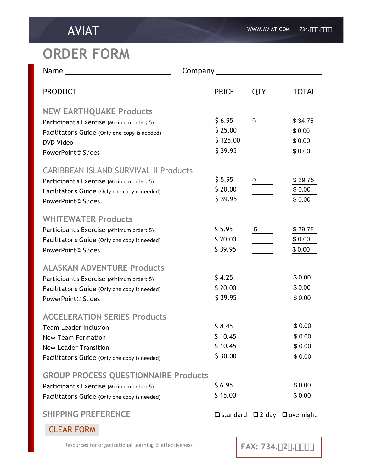## **ORDER FORM**

| <b>PRODUCT</b>                                                                                                                                                                    | <b>PRICE</b>                             | <b>QTY</b>           | <b>TOTAL</b>                          |
|-----------------------------------------------------------------------------------------------------------------------------------------------------------------------------------|------------------------------------------|----------------------|---------------------------------------|
| <b>NEW EARTHQUAKE Products</b><br>Participant's Exercise (Minimum order: 5)<br>Facilitator's Guide (Only one copy is needed)<br><b>DVD Video</b><br>PowerPoint© Slides            | \$6.95<br>\$25.00<br>\$125.00<br>\$39.95 | $rac{5}{2}$          | \$34.75<br>\$0.00<br>\$0.00<br>\$0.00 |
| <b>CARIBBEAN ISLAND SURVIVAL II Products</b><br>Participant's Exercise (Minimum order: 5)<br>Facilitator's Guide (Only one copy is needed)<br>PowerPoint© Slides                  | \$5.95<br>\$20.00<br>\$39.95             | $\frac{5}{\sqrt{2}}$ | \$29.75<br>\$0.00<br>\$0.00           |
| <b>WHITEWATER Products</b><br>Participant's Exercise (Minimum order: 5)<br>Facilitator's Guide (Only one copy is needed)<br>PowerPoint© Slides                                    | \$5.95<br>\$20.00<br>\$39.95             | $\frac{5}{ }$        | \$29.75<br>\$0.00<br>\$0.00           |
| <b>ALASKAN ADVENTURE Products</b><br>Participant's Exercise (Minimum order: 5)<br>Facilitator's Guide (Only one copy is needed)<br>PowerPoint© Slides                             | \$4.25<br>\$20.00<br>\$39.95             |                      | \$0.00<br>\$0.00<br>\$0.00            |
| <b>ACCELERATION SERIES Products</b><br><b>Team Leader Inclusion</b><br><b>New Team Formation</b><br><b>New Leader Transition</b><br>Facilitator's Guide (Only one copy is needed) | \$8.45<br>\$10.45<br>\$10.45<br>\$30.00  |                      | \$0.00<br>\$0.00<br>\$0.00<br>\$0.00  |
| <b>GROUP PROCESS QUESTIONNAIRE Products</b><br>Participant's Exercise (Minimum order: 5)<br>Facilitator's Guide (Only one copy is needed)                                         | \$6.95<br>\$15.00                        |                      | \$0.00<br>\$0.00                      |
| <b>SHIPPING PREFERENCE</b>                                                                                                                                                        | $\Box$ standard                          |                      | $\Box$ 2-day $\Box$ overnight         |

CLEAR FORM

Resources for organizational learning & effectiveness

**FAX:** 734. $+2$ <sup>\*</sup>.)  $\frac{6}{5}$ <sup>\*</sup> +